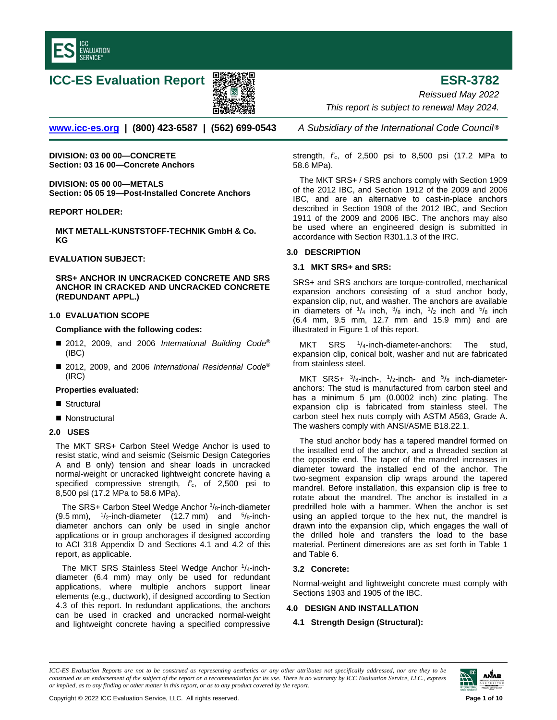

# **ICC-ES Evaluation Report ESR-3782**



*Reissued May 2022 This report is subject to renewal May 2024.* 

**[www.icc-es.org](http://www.icc-es.org/) | (800) 423-6587 | (562) 699-0543** *A Subsidiary of the International Code Council* ®

**DIVISION: 03 00 00—CONCRETE Section: 03 16 00—Concrete Anchors** 

**DIVISION: 05 00 00—METALS Section: 05 05 19—Post-Installed Concrete Anchors** 

# **REPORT HOLDER:**

**MKT METALL-KUNSTSTOFF-TECHNIK GmbH & Co. KG**

#### **EVALUATION SUBJECT:**

**SRS+ ANCHOR IN UNCRACKED CONCRETE AND SRS ANCHOR IN CRACKED AND UNCRACKED CONCRETE (REDUNDANT APPL.)**

# **1.0 EVALUATION SCOPE**

# **Compliance with the following codes:**

- 2012, 2009, and 2006 *International Building Code®* (IBC)
- 2012, 2009, and 2006 *International Residential Code*<sup>®</sup> (IRC)

#### **Properties evaluated:**

- Structural
- Nonstructural

# **2.0 USES**

The MKT SRS+ Carbon Steel Wedge Anchor is used to resist static, wind and seismic (Seismic Design Categories A and B only) tension and shear loads in uncracked normal-weight or uncracked lightweight concrete having a specified compressive strength*, f'c*, of 2,500 psi to 8,500 psi (17.2 MPa to 58.6 MPa).

The SRS+ Carbon Steel Wedge Anchor 3/8-inch-diameter  $(9.5 \text{ mm})$ ,  $1/2$ -inch-diameter  $(12.7 \text{ mm})$  and  $5/8$ -inchdiameter anchors can only be used in single anchor applications or in group anchorages if designed according to ACI 318 Appendix D and Sections 4.1 and 4.2 of this report, as applicable.

The MKT SRS Stainless Steel Wedge Anchor <sup>1</sup>/<sub>4</sub>-inchdiameter (6.4 mm) may only be used for redundant applications, where multiple anchors support linear elements (e.g., ductwork), if designed according to Section 4.3 of this report. In redundant applications, the anchors can be used in cracked and uncracked normal-weight and lightweight concrete having a specified compressive

strength, *f'c*, of 2,500 psi to 8,500 psi (17.2 MPa to 58.6 MPa).

The MKT SRS+ / SRS anchors comply with Section 1909 of the 2012 IBC, and Section 1912 of the 2009 and 2006 IBC, and are an alternative to cast-in-place anchors described in Section 1908 of the 2012 IBC, and Section 1911 of the 2009 and 2006 IBC. The anchors may also be used where an engineered design is submitted in accordance with Section R301.1.3 of the IRC.

# **3.0 DESCRIPTION**

# **3.1 MKT SRS+ and SRS:**

SRS+ and SRS anchors are torque-controlled, mechanical expansion anchors consisting of a stud anchor body, expansion clip, nut, and washer. The anchors are available in diameters of  $\frac{1}{4}$  inch,  $\frac{3}{8}$  inch,  $\frac{1}{2}$  inch and  $\frac{5}{8}$  inch (6.4 mm, 9.5 mm, 12.7 mm and 15.9 mm) and are illustrated in Figure 1 of this report.

 $SRS$  <sup>1</sup>/<sub>4</sub>-inch-diameter-anchors: The stud, expansion clip, conical bolt, washer and nut are fabricated from stainless steel.

MKT SRS+  $\frac{3}{8}$ -inch-,  $\frac{1}{2}$ -inch- and  $\frac{5}{8}$  inch-diameteranchors: The stud is manufactured from carbon steel and has a minimum 5 μm (0.0002 inch) zinc plating. The expansion clip is fabricated from stainless steel. The carbon steel hex nuts comply with ASTM A563, Grade A. The washers comply with ANSI/ASME B18.22.1.

The stud anchor body has a tapered mandrel formed on the installed end of the anchor, and a threaded section at the opposite end. The taper of the mandrel increases in diameter toward the installed end of the anchor. The two-segment expansion clip wraps around the tapered mandrel. Before installation, this expansion clip is free to rotate about the mandrel. The anchor is installed in a predrilled hole with a hammer. When the anchor is set using an applied torque to the hex nut, the mandrel is drawn into the expansion clip, which engages the wall of the drilled hole and transfers the load to the base material. Pertinent dimensions are as set forth in Table 1 and Table 6.

# **3.2 Concrete:**

Normal-weight and lightweight concrete must comply with Sections 1903 and 1905 of the IBC.

### **4.0 DESIGN AND INSTALLATION**

**4.1 Strength Design (Structural):** 

*ICC-ES Evaluation Reports are not to be construed as representing aesthetics or any other attributes not specifically addressed, nor are they to be construed as an endorsement of the subject of the report or a recommendation for its use. There is no warranty by ICC Evaluation Service, LLC., express or implied, as to any finding or other matter in this report, or as to any product covered by the report.*

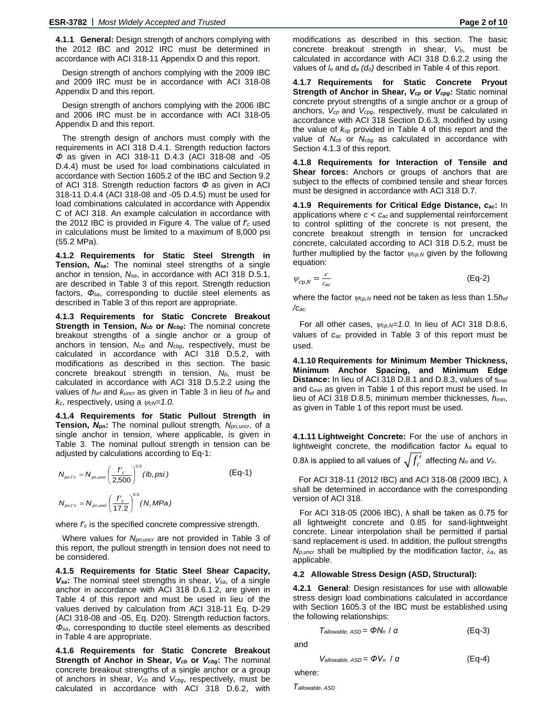**4.1.1 General:** Design strength of anchors complying with the 2012 IBC and 2012 IRC must be determined in accordance with ACI 318-11 Appendix D and this report.

Design strength of anchors complying with the 2009 IBC and 2009 IRC must be in accordance with ACI 318-08 Appendix D and this report.

Design strength of anchors complying with the 2006 IBC and 2006 IRC must be in accordance with ACI 318-05 Appendix D and this report.

The strength design of anchors must comply with the requirements in ACI 318 D.4.1. Strength reduction factors *Φ* as given in ACI 318-11 D.4.3 (ACI 318-08 and -05 D.4.4) must be used for load combinations calculated in accordance with Section 1605.2 of the IBC and Section 9.2 of ACI 318. Strength reduction factors *Φ* as given in ACI 318-11 D.4.4 (ACI 318-08 and -05 D.4.5) must be used for load combinations calculated in accordance with Appendix C of ACI 318. An example calculation in accordance with the 2012 IBC is provided in Figure 4. The value of *f'c* used in calculations must be limited to a maximum of 8,000 psi (55.2 MPa).

**4.1.2 Requirements for Static Steel Strength in Tension,** *Nsa***:** The nominal steel strengths of a single anchor in tension, *Nsa*, in accordance with ACI 318 D.5.1, are described in Table 3 of this report. Strength reduction factors, *Φsa*, corresponding to ductile steel elements as described in Table 3 of this report are appropriate.

**4.1.3 Requirements for Static Concrete Breakout Strength in Tension,** *Ncb* **or** *Ncbg***:** The nominal concrete breakout strengths of a single anchor or a group of anchors in tension, *Ncb* and *Ncbg*, respectively, must be calculated in accordance with ACI 318 D.5.2, with modifications as described in this section. The basic concrete breakout strength in tension, *Nb*, must be calculated in accordance with ACI 318 D.5.2.2 using the values of *hef* and *kuncr* as given in Table 3 in lieu of *hef* and *kc*, respectively, using a ψ*cN=1.0*.

**4.1.4 Requirements for Static Pullout Strength in Tension,** *Npn***:** The nominal pullout strength*, Npn,uncr*, of a single anchor in tension, where applicable, is given in Table 3. The nominal pullout strength in tension can be adjusted by calculations according to Eq-1:

$$
N_{pn,fc} = N_{pn,unc} \left(\frac{f'_c}{2,500}\right)^{0.5} (lb, psi)
$$
 (Eq-1)  

$$
N_{pn,fc} = N_{pn,unc} \left(\frac{f'_c}{17.2}\right)^{0.5} (N, MPa)
$$

where  $f_c$  is the specified concrete compressive strength.

Where values for *Npn,uncr* are not provided in Table 3 of this report, the pullout strength in tension does not need to be considered.

**4.1.5 Requirements for Static Steel Shear Capacity,**  *Vsa***:** The nominal steel strengths in shear, *Vsa*, of a single anchor in accordance with ACI 318 D.6.1.2, are given in Table 4 of this report and must be used in lieu of the values derived by calculation from ACI 318-11 Eq. D-29 (ACI 318-08 and -05, Eq. D20). Strength reduction factors, *Φsa*, corresponding to ductile steel elements as described in Table 4 are appropriate.

**4.1.6 Requirements for Static Concrete Breakout Strength of Anchor in Shear,**  $V_{cb}$  **or**  $V_{cbg}$ **: The nominal** concrete breakout strengths of a single anchor or a group of anchors in shear, *Vcb* and *Vcbg*, respectively, must be calculated in accordance with ACI 318 D.6.2, with

**4.1.7 Requirements for Static Concrete Pryout Strength of Anchor in Shear,** *Vcp* **or** *Vcpg***:** Static nominal concrete pryout strengths of a single anchor or a group of anchors, *Vcp* and *Vcpg*, respectively, must be calculated in accordance with ACI 318 Section D.6.3, modified by using the value of *kcp* provided in Table 4 of this report and the value of *Ncb* or *Ncbg* as calculated in accordance with Section 4.1.3 of this report.

**4.1.8 Requirements for Interaction of Tensile and Shear forces:** Anchors or groups of anchors that are subject to the effects of combined tensile and shear forces must be designed in accordance with ACI 318 D.7.

**4.1.9 Requirements for Critical Edge Distance,** *cac***:** In applications where *c < cac* and supplemental reinforcement to control splitting of the concrete is not present, the concrete breakout strength in tension for uncracked concrete, calculated according to ACI 318 D.5.2, must be further multiplied by the factor  $\psi_{cp,N}$  given by the following equation:

$$
(Eq-2)
$$

where the factor <sup>ψ</sup>*cp,N* need not be taken as less than 1.5*hef /cac.*

For all other cases,  $\psi_{cp,N}=1.0$ . In lieu of ACI 318 D.8.6, values of *cac* provided in Table 3 of this report must be used.

**4.1.10 Requirements for Minimum Member Thickness, Minimum Anchor Spacing, and Minimum Edge Distance:** In lieu of ACI 318 D.8.1 and D.8.3, values of s*min* and c*min* as given in Table 1 of this report must be used. In lieu of ACI 318 D.8.5, minimum member thicknesses, *hmin*, as given in Table 1 of this report must be used.

**4.1.11 Lightweight Concrete:** For the use of anchors in lightweight concrete, the modification factor  $\lambda_a$  equal to

0.8λ is applied to all values of  $\sqrt{f'_c}$  affecting *N<sub>n</sub>* and *V<sub>n</sub>*.

For ACI 318-11 (2012 IBC) and ACI 318-08 (2009 IBC), λ shall be determined in accordance with the corresponding version of ACI 318.

For ACI 318-05 (2006 IBC), λ shall be taken as 0.75 for all lightweight concrete and 0.85 for sand-lightweight concrete. Linear interpolation shall be permitted if partial sand replacement is used. In addition, the pullout strengths *Np,uncr* shall be multiplied by the modification factor, *λa*, as applicable.

#### **4.2 Allowable Stress Design (ASD, Structural):**

**4.2.1 General**: Design resistances for use with allowable stress design load combinations calculated in accordance with Section 1605.3 of the IBC must be established using the following relationships:

$$
T_{\text{allowable, ASD}} = \Phi N_n / \alpha \tag{Eq-3}
$$

and

 $\psi_{cp,N} = \frac{c}{c_{ac}}$ 

$$
V_{\text{allowable, ASD}} = \Phi V_n / \alpha \tag{Eq-4}
$$

where:

*Tallowable, ASD*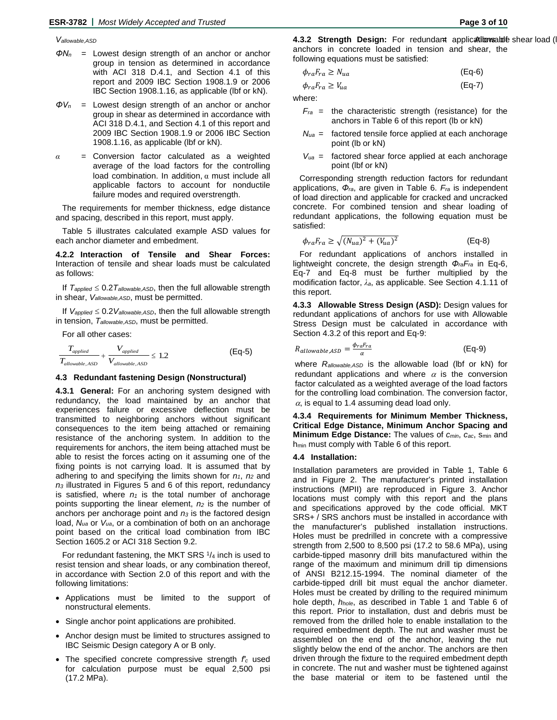- *ΦN<sup>n</sup> =* Lowest design strength of an anchor or anchor group in tension as determined in accordance with ACI 318 D.4.1, and Section 4.1 of this report and 2009 IBC Section 1908.1.9 or 2006 IBC Section 1908.1.16, as applicable (lbf or kN).
- *ΦV<sup>n</sup>* = Lowest design strength of an anchor or anchor group in shear as determined in accordance with ACI 318 D.4.1, and Section 4.1 of this report and 2009 IBC Section 1908.1.9 or 2006 IBC Section 1908.1.16, as applicable (lbf or kN).
- *α* = Conversion factor calculated as a weighted average of the load factors for the controlling load combination. In addition,  $\alpha$  must include all applicable factors to account for nonductile failure modes and required overstrength.

The requirements for member thickness, edge distance and spacing, described in this report, must apply.

Table 5 illustrates calculated example ASD values for each anchor diameter and embedment.

**4.2.2 Interaction of Tensile and Shear Forces:** Interaction of tensile and shear loads must be calculated as follows:

If  $T_{\text{applied}} \leq 0.2 T_{\text{allowable,ASD}}$ , then the full allowable strength in shear, *Vallowable,ASD*, must be permitted.

If *Vapplied* ≤ 0.2*Vallowable,ASD*, then the full allowable strength in tension, *Tallowable,ASD*, must be permitted.

For all other cases:

$$
\frac{T_{applied}}{T_{allowable,ASD}} + \frac{V_{applied}}{V_{allowable,ASD}} \le 1.2
$$
 (Eq-5)

#### **4.3 Redundant fastening Design (Nonstructural)**

**4.3.1 General:** For an anchoring system designed with redundancy, the load maintained by an anchor that experiences failure or excessive deflection must be transmitted to neighboring anchors without significant consequences to the item being attached or remaining resistance of the anchoring system. In addition to the requirements for anchors, the item being attached must be able to resist the forces acting on it assuming one of the fixing points is not carrying load. It is assumed that by adhering to and specifying the limits shown for  $n_1$ ,  $n_2$  and *n3* illustrated in Figures 5 and 6 of this report, redundancy is satisfied, where  $n_1$  is the total number of anchorage points supporting the linear element, *n2* is the number of anchors per anchorage point and  $n_3$  is the factored design load, *Nua* or *Vua*, or a combination of both on an anchorage point based on the critical load combination from IBC Section 1605.2 or ACI 318 Section 9.2.

For redundant fastening, the MKT SRS  $1/4$  inch is used to resist tension and shear loads, or any combination thereof, in accordance with Section 2.0 of this report and with the following limitations:

- Applications must be limited to the support of nonstructural elements.
- Single anchor point applications are prohibited.
- Anchor design must be limited to structures assigned to IBC Seismic Design category A or B only.
- The specified concrete compressive strength *f′<sup>c</sup>* used for calculation purpose must be equal 2,500 psi (17.2 MPa).

Vallowable,ASD **blue shares are solutions of the strength Design:** For redundant applications and existing the strength of the strength Design: For redundant applications and existing the strength of the strength of the st anchors in concrete loaded in tension and shear, the following equations must be satisfied:

$$
\phi_{ra}F_{ra} \ge N_{ua} \tag{Eq-6}
$$

$$
\phi_{ra}F_{ra} \ge V_{ua} \tag{Eq-7}
$$

where:

- *Fra* = the characteristic strength (resistance) for the anchors in Table 6 of this report (lb or kN)
- *Nua* = factored tensile force applied at each anchorage point (lb or kN)
- $V_{ua}$  = factored shear force applied at each anchorage point (lbf or kN)

Corresponding strength reduction factors for redundant applications, *Φra*, are given in Table 6. *Fra* is independent of load direction and applicable for cracked and uncracked concrete. For combined tension and shear loading of redundant applications, the following equation must be satisfied:

$$
\phi_{ra}F_{ra} \ge \sqrt{(N_{ua})^2 + (V_{ua})^2} \tag{Eq-8}
$$

For redundant applications of anchors installed in lightweight concrete, the design strength *ΦraFra* in Eq-6, Eq-7 and Eq-8 must be further multiplied by the modification factor, *λa*, as applicable. See Section 4.1.11 of this report.

**4.3.3 Allowable Stress Design (ASD):** Design values for redundant applications of anchors for use with Allowable Stress Design must be calculated in accordance with Section 4.3.2 of this report and Eq-9:

$$
R_{allowable,ASD} = \frac{\phi_{ra}F_{ra}}{\alpha} \tag{Eq-9}
$$

where *Rallowable,ASD* is the allowable load (lbf or kN) for redundant applications and where  $\alpha$  is the conversion factor calculated as a weighted average of the load factors for the controlling load combination. The conversion factor,  $\alpha$ , is equal to 1.4 assuming dead load only.

**4.3.4 Requirements for Minimum Member Thickness, Critical Edge Distance, Minimum Anchor Spacing and Minimum Edge Distance:** The values of *cmin*, *cac*, smin and h<sub>min</sub> must comply with Table 6 of this report.

#### **4.4 Installation:**

Installation parameters are provided in Table 1, Table 6 and in Figure 2. The manufacturer's printed installation instructions (MPII) are reproduced in Figure 3. Anchor locations must comply with this report and the plans and specifications approved by the code official. MKT SRS+ / SRS anchors must be installed in accordance with the manufacturer's published installation instructions. Holes must be predrilled in concrete with a compressive strength from 2,500 to 8,500 psi (17.2 to 58.6 MPa), using carbide-tipped masonry drill bits manufactured within the range of the maximum and minimum drill tip dimensions of ANSI B212.15-1994. The nominal diameter of the carbide-tipped drill bit must equal the anchor diameter. Holes must be created by drilling to the required minimum hole depth, *hhole*, as described in Table 1 and Table 6 of this report. Prior to installation, dust and debris must be removed from the drilled hole to enable installation to the required embedment depth. The nut and washer must be assembled on the end of the anchor, leaving the nut slightly below the end of the anchor. The anchors are then driven through the fixture to the required embedment depth in concrete. The nut and washer must be tightened against the base material or item to be fastened until the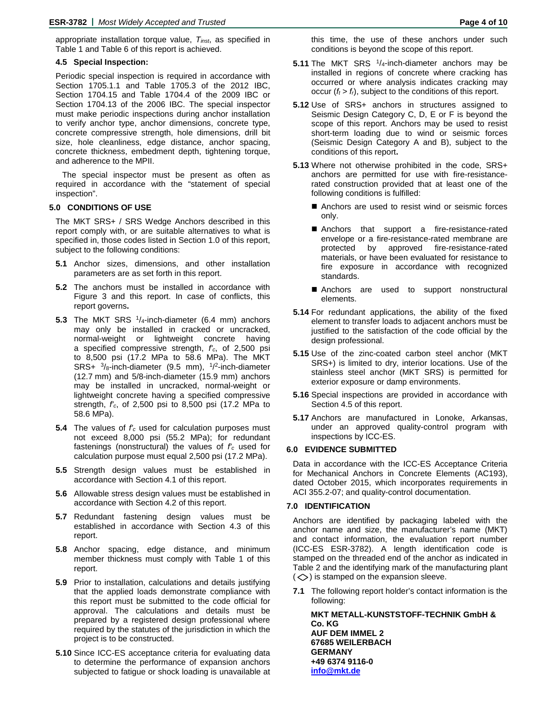appropriate installation torque value, *Tinst*, as specified in Table 1 and Table 6 of this report is achieved.

#### **4.5 Special Inspection:**

Periodic special inspection is required in accordance with Section 1705.1.1 and Table 1705.3 of the 2012 IBC, Section 1704.15 and Table 1704.4 of the 2009 IBC or Section 1704.13 of the 2006 IBC. The special inspector must make periodic inspections during anchor installation to verify anchor type, anchor dimensions, concrete type, concrete compressive strength, hole dimensions, drill bit size, hole cleanliness, edge distance, anchor spacing, concrete thickness, embedment depth, tightening torque, and adherence to the MPII.

The special inspector must be present as often as required in accordance with the "statement of special inspection".

#### **5.0 CONDITIONS OF USE**

The MKT SRS+ / SRS Wedge Anchors described in this report comply with, or are suitable alternatives to what is specified in, those codes listed in Section 1.0 of this report, subject to the following conditions:

- **5.1** Anchor sizes, dimensions, and other installation parameters are as set forth in this report.
- **5.2** The anchors must be installed in accordance with Figure 3 and this report. In case of conflicts, this report governs**.**
- **5.3** The MKT SRS 1/4-inch-diameter (6.4 mm) anchors may only be installed in cracked or uncracked, normal-weight or lightweight concrete having a specified compressive strength, *f'c*, of 2,500 psi to 8,500 psi (17.2 MPa to 58.6 MPa). The MKT  $SRS+$  <sup>3</sup>/8-inch-diameter (9.5 mm), <sup>1</sup>/<sup>2</sup>-inch-diameter (12.7 mm) and 5/8-inch-diameter (15.9 mm) anchors may be installed in uncracked, normal-weight or lightweight concrete having a specified compressive strength, *f'c*, of 2,500 psi to 8,500 psi (17.2 MPa to 58.6 MPa).
- **5.4** The values of *f'c* used for calculation purposes must not exceed 8,000 psi (55.2 MPa); for redundant fastenings (nonstructural) the values of *f'c* used for calculation purpose must equal 2,500 psi (17.2 MPa).
- **5.5** Strength design values must be established in accordance with Section 4.1 of this report.
- **5.6** Allowable stress design values must be established in accordance with Section 4.2 of this report.
- **5.7** Redundant fastening design values must be established in accordance with Section 4.3 of this report.
- **5.8** Anchor spacing, edge distance, and minimum member thickness must comply with Table 1 of this report.
- **5.9** Prior to installation, calculations and details justifying that the applied loads demonstrate compliance with this report must be submitted to the code official for approval. The calculations and details must be prepared by a registered design professional where required by the statutes of the jurisdiction in which the project is to be constructed.
- **5.10** Since ICC-ES acceptance criteria for evaluating data to determine the performance of expansion anchors subjected to fatigue or shock loading is unavailable at

this time, the use of these anchors under such conditions is beyond the scope of this report.

- **5.11** The MKT SRS <sup>1</sup>/<sub>4</sub>-inch-diameter anchors may be installed in regions of concrete where cracking has occurred or where analysis indicates cracking may occur  $(f_t > f_t)$ , subject to the conditions of this report.
- **5.12** Use of SRS+ anchors in structures assigned to Seismic Design Category C, D, E or F is beyond the scope of this report. Anchors may be used to resist short-term loading due to wind or seismic forces (Seismic Design Category A and B), subject to the conditions of this report**.**
- **5.13** Where not otherwise prohibited in the code, SRS+ anchors are permitted for use with fire-resistancerated construction provided that at least one of the following conditions is fulfilled:
	- Anchors are used to resist wind or seismic forces only.
	- Anchors that support a fire-resistance-rated envelope or a fire-resistance-rated membrane are protected by approved fire-resistance-rated materials, or have been evaluated for resistance to fire exposure in accordance with recognized standards.
	- Anchors are used to support nonstructural elements.
- **5.14** For redundant applications, the ability of the fixed element to transfer loads to adjacent anchors must be justified to the satisfaction of the code official by the design professional.
- **5.15** Use of the zinc-coated carbon steel anchor (MKT SRS+) is limited to dry, interior locations. Use of the stainless steel anchor (MKT SRS) is permitted for exterior exposure or damp environments.
- **5.16** Special inspections are provided in accordance with Section 4.5 of this report.
- **5.17** Anchors are manufactured in Lonoke, Arkansas, under an approved quality-control program with inspections by ICC-ES.

#### **6.0 EVIDENCE SUBMITTED**

Data in accordance with the ICC-ES Acceptance Criteria for Mechanical Anchors in Concrete Elements (AC193), dated October 2015, which incorporates requirements in ACI 355.2-07; and quality-control documentation.

#### **7.0 IDENTIFICATION**

Anchors are identified by packaging labeled with the anchor name and size, the manufacturer's name (MKT) and contact information, the evaluation report number (ICC-ES ESR-3782). A length identification code is stamped on the threaded end of the anchor as indicated in Table 2 and the identifying mark of the manufacturing plant  $(\diamondsuit)$  is stamped on the expansion sleeve.

**7.1** The following report holder's contact information is the following:

**MKT METALL-KUNSTSTOFF-TECHNIK GmbH & Co. KG AUF DEM IMMEL 2 67685 WEILERBACH GERMANY +49 6374 9116-0 [info@mkt.de](mailto:info@mkt.de)**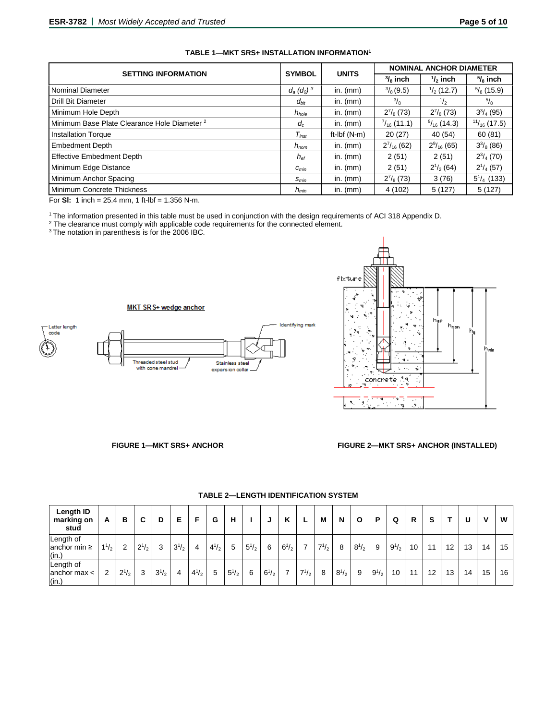| <b>SETTING INFORMATION</b>                              | <b>SYMBOL</b>    | <b>UNITS</b>            | <b>NOMINAL ANCHOR DIAMETER</b> |                       |                        |  |
|---------------------------------------------------------|------------------|-------------------------|--------------------------------|-----------------------|------------------------|--|
|                                                         |                  |                         | $\frac{3}{8}$ inch             | $1/2$ inch            | $\frac{5}{8}$ inch     |  |
| <b>Nominal Diameter</b>                                 | $d_a (d_0)^3$    | in. $(mm)$              | $\frac{3}{8}$ (9.5)            | $\frac{1}{2}$ (12.7)  | $\frac{5}{8}$ (15.9)   |  |
| <b>Drill Bit Diameter</b>                               | $d_{\text{hit}}$ | in. $(mm)$              | $\frac{3}{8}$                  | $\frac{1}{2}$         | $^{5}/_8$              |  |
| Minimum Hole Depth                                      | $h_{hole}$       | in. $(mm)$              | $2^{7}/_8(73)$                 | $2^{7}/_8(73)$        | $3^{3}/_{4}$ (95)      |  |
| Minimum Base Plate Clearance Hole Diameter <sup>2</sup> | $d_c$            | in. $(mm)$              | $\frac{7}{16}$ (11.1)          | $\frac{9}{16}$ (14.3) | $\frac{11}{16}$ (17.5) |  |
| <b>Installation Torque</b>                              | $T_{inst}$       | ft- $I\mathsf{b}f(N-m)$ | 20(27)                         | 40 (54)               | 60(81)                 |  |
| <b>Embedment Depth</b>                                  | $h_{nom}$        | in. $(mm)$              | $2^{7}/_{16}$ (62)             | $2\frac{9}{16}$ (65)  | $3^{3}/_{8}$ (86)      |  |
| <b>Effective Embedment Depth</b>                        | $h_{\text{ef}}$  | in. $(mm)$              | 2(51)                          | 2(51)                 | $2^{3}/_{4}$ (70)      |  |
| Minimum Edge Distance                                   | $C_{min}$        | in. $(mm)$              | 2(51)                          | $2^{1/2}$ (64)        | $2^{1}/_{4}$ (57)      |  |
| Minimum Anchor Spacing                                  | $S_{min}$        | in. $(mm)$              | $2^{7}/_{8}$ (73)              | 3(76)                 | $5^{1}/_{4}$ (133)     |  |
| Minimum Concrete Thickness                              | $h_{min}$        | in. $(mm)$              | 4(102)                         | 5(127)                | 5(127)                 |  |

# **TABLE 1—MKT SRS+ INSTALLATION INFORMATION1**

For **SI:** 1 inch =  $25.4$  mm, 1 ft-lbf =  $1.356$  N-m.

<sup>1</sup> The information presented in this table must be used in conjunction with the design requirements of ACI 318 Appendix D.

<sup>2</sup> The clearance must comply with applicable code requirements for the connected element.

<sup>3</sup>The notation in parenthesis is for the 2006 IBC.





# **FIGURE 1—MKT SRS+ ANCHOR FIGURE 2—MKT SRS+ ANCHOR (INSTALLED)**

| Length ID<br>marking on<br>stud         | A         | в              | С         | D         | Е         |           | G         | н         |              | u         | K         | L         | M         | N         | O         | P         | Q         | R  | s  |    |    | v  | W  |
|-----------------------------------------|-----------|----------------|-----------|-----------|-----------|-----------|-----------|-----------|--------------|-----------|-----------|-----------|-----------|-----------|-----------|-----------|-----------|----|----|----|----|----|----|
| Length of<br>anchor min $\geq$<br>(in.) | $1^{1/2}$ | $\overline{2}$ | $2^{1/2}$ | 3         | $3^{1/2}$ | 4         | $4^{1/2}$ | 5         | $5^{1}/_{2}$ | 6         | $6^{1/2}$ | 7         | $7^{1/2}$ | 8         | $8^{1/2}$ | 9         | $9^{1/2}$ | 10 | 11 | 12 | 13 | 14 | 15 |
| Length of<br>anchor max $\lt$<br>(in.)  | 2         | $2^{1/2}$      | 3         | $3^{1/2}$ | 4         | $4^{1/2}$ | 5         | $5^{1/2}$ | 6            | $6^{1/2}$ | ⇁         | $7^{1/2}$ | 8         | $8^{1/2}$ | 9         | $9^{1/2}$ | 10        | 11 | 12 | 13 | 14 | 15 | 16 |

# **TABLE 2—LENGTH IDENTIFICATION SYSTEM**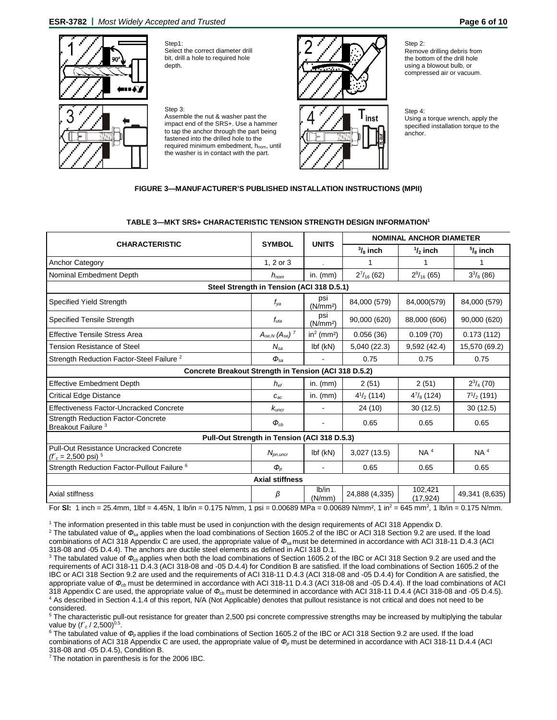**ESR-3782 |** *Most Widely Accepted and Trusted* **Page 6 of 10**



Step1: Select the correct diameter drill bit, drill a hole to required hole depth.



Step 3: Assemble the nut & washer past the impact end of the SRS+. Use a hammer to tap the anchor through the part being fastened into the drilled hole to the

required minimum embedment, hnom, until the washer is in contact with the part.





Step 2: Remove drilling debris from the bottom of the drill hole using a blowout bulb, or compressed air or vacuum.

Step 4: Using a torque wrench, apply the specified installation torque to the anchor.

# **FIGURE 3—MANUFACTURER'S PUBLISHED INSTALLATION INSTRUCTIONS (MPII)**

# **TABLE 3—MKT SRS+ CHARACTERISTIC TENSION STRENGTH DESIGN INFORMATION1**

|                                                                            |                                              | <b>UNITS</b>                       | <b>NOMINAL ANCHOR DIAMETER</b> |                      |                    |  |  |  |  |
|----------------------------------------------------------------------------|----------------------------------------------|------------------------------------|--------------------------------|----------------------|--------------------|--|--|--|--|
| <b>CHARACTERISTIC</b>                                                      | <b>SYMBOL</b>                                |                                    | $\frac{3}{8}$ inch             | $\frac{1}{2}$ inch   | $\frac{5}{6}$ inch |  |  |  |  |
| <b>Anchor Category</b>                                                     | 1. $2$ or $3$                                |                                    | 1                              | 1                    | 1                  |  |  |  |  |
| Nominal Embedment Depth                                                    | $h_{nom}$                                    | in. $(mm)$                         | $2^{7}/_{16}$ (62)             | $2\frac{9}{16}$ (65) | $3^{3}/_{8}$ (86)  |  |  |  |  |
| Steel Strength in Tension (ACI 318 D.5.1)                                  |                                              |                                    |                                |                      |                    |  |  |  |  |
| <b>Specified Yield Strength</b>                                            | $f_{\mathsf{v}a}$                            | psi<br>(N/mm <sup>2</sup> )        | 84,000 (579)                   | 84,000(579)          | 84,000 (579)       |  |  |  |  |
| Specified Tensile Strength                                                 | $f_{uta}$                                    | psi<br>(N/mm <sup>2</sup> )        | 90,000 (620)                   | 88,000 (606)         | 90,000 (620)       |  |  |  |  |
| <b>Effective Tensile Stress Area</b>                                       | $A_{se,N}$ ( $A_{se}$ ) <sup>7</sup>         | in <sup>2</sup> (mm <sup>2</sup> ) | 0.056(36)                      | 0.109(70)            | 0.173(112)         |  |  |  |  |
| <b>Tension Resistance of Steel</b>                                         | $N_{sa}$                                     | $Ibf$ (kN)                         | 5,040 (22.3)                   | 9,592(42.4)          | 15,570 (69.2)      |  |  |  |  |
| Strength Reduction Factor-Steel Failure <sup>2</sup>                       | $\Phi_{sa}$                                  |                                    | 0.75                           | 0.75                 | 0.75               |  |  |  |  |
| Concrete Breakout Strength in Tension (ACI 318 D.5.2)                      |                                              |                                    |                                |                      |                    |  |  |  |  |
| <b>Effective Embedment Depth</b>                                           | $h_{\alpha f}$                               | in. $(mm)$                         | 2(51)                          | 2(51)                | $2^{3}/_{4}$ (70)  |  |  |  |  |
| <b>Critical Edge Distance</b>                                              | $C_{ac}$                                     | in. $(mm)$                         | $4^{1/2}$ (114)                | $4^{7}/_{8}$ (124)   | $7^{1/2}$ (191)    |  |  |  |  |
| Effectiveness Factor-Uncracked Concrete                                    | $k_{\text{uncr}}$                            | $\blacksquare$                     | 24 (10)                        | 30(12.5)             | 30(12.5)           |  |  |  |  |
| <b>Strength Reduction Factor-Concrete</b><br>Breakout Failure <sup>3</sup> | $\boldsymbol{\phi}_{cb}$                     | $\blacksquare$                     | 0.65                           | 0.65                 | 0.65               |  |  |  |  |
|                                                                            | Pull-Out Strength in Tension (ACI 318 D.5.3) |                                    |                                |                      |                    |  |  |  |  |
| Pull-Out Resistance Uncracked Concrete<br>$(f'_c = 2,500 \text{ psi})^{5}$ | $N_{pn,uncr}$                                | $Ibf$ (kN)                         | 3,027(13.5)                    | NA <sup>4</sup>      | NA <sup>4</sup>    |  |  |  |  |
| Strength Reduction Factor-Pullout Failure <sup>6</sup>                     | $\boldsymbol{\phi}_o$                        | $\blacksquare$                     | 0.65                           | 0.65                 | 0.65               |  |  |  |  |
|                                                                            | <b>Axial stiffness</b>                       |                                    |                                |                      |                    |  |  |  |  |
| Axial stiffness                                                            | β                                            | Ib/in<br>(N/mm)                    | 24,888 (4,335)                 | 102,421<br>(17, 924) | 49,341 (8,635)     |  |  |  |  |

For SI: 1 inch = 25.4mm, 1lbf = 4.45N, 1 lb/in = 0.175 N/mm, 1 psi = 0.00689 MPa = 0.00689 N/mm<sup>2</sup>, 1 in<sup>2</sup> = 645 mm<sup>2</sup>, 1 lb/in = 0.175 N/mm.

<sup>1</sup> The information presented in this table must be used in conjunction with the design requirements of ACI 318 Appendix D.

<sup>2</sup> The tabulated value of Φ<sub>sa</sub> applies when the load combinations of Section 1605.2 of the IBC or ACI 318 Section 9.2 are used. If the load combinations of ACI 318 Appendix C are used, the appropriate value of *Фsa* must be determined in accordance with ACI 318-11 D.4.3 (ACI 318-08 and -05 D.4.4). The anchors are ductile steel elements as defined in ACI 318 D.1.

<sup>3</sup> The tabulated value of  $\Phi_{cb}$  applies when both the load combinations of Section 1605.2 of the IBC or ACI 318 Section 9.2 are used and the requirements of ACI 318-11 D.4.3 (ACI 318-08 and -05 D.4.4) for Condition B are satisfied. If the load combinations of Section 1605.2 of the IBC or ACI 318 Section 9.2 are used and the requirements of ACI 318-11 D.4.3 (ACI 318-08 and -05 D.4.4) for Condition A are satisfied, the appropriate value of  $\Phi_{cb}$  must be determined in accordance with ACI 318-11 D.4.3 (ACI 318-08 and -05 D.4.4). If the load combinations of ACI 318 Appendix C are used, the appropriate value of *Фcb* must be determined in accordance with ACI 318-11 D.4.4 (ACI 318-08 and -05 D.4.5). <sup>4</sup> As described in Section 4.1.4 of this report, N/A (Not Applicable) denotes that pullout resistance is not critical and does not need to be considered.

<sup>5</sup> The characteristic pull-out resistance for greater than 2,500 psi concrete compressive strengths may be increased by multiplying the tabular value by  $(f'_c / 2,500)^{0.5}$ .

<sup>6</sup> The tabulated value of Φ<sub>*p*</sub> applies if the load combinations of Section 1605.2 of the IBC or ACI 318 Section 9.2 are used. If the load combinations of ACI 318 Appendix C are used, the appropriate value of *Ф<sup>p</sup>* must be determined in accordance with ACI 318-11 D.4.4 (ACI 318-08 and -05 D.4.5), Condition B.

<sup>7</sup> The notation in parenthesis is for the 2006 IBC.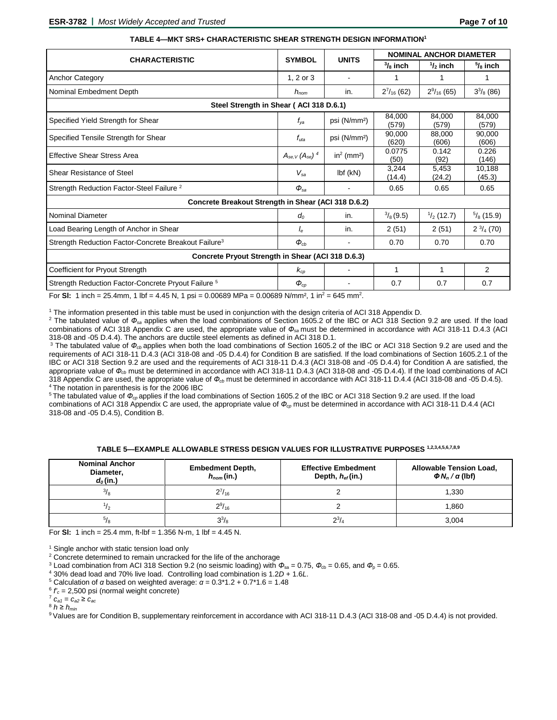|                                                                  |                                      |                                    | <b>NOMINAL ANCHOR DIAMETER</b> |                      |                      |  |  |  |
|------------------------------------------------------------------|--------------------------------------|------------------------------------|--------------------------------|----------------------|----------------------|--|--|--|
| <b>CHARACTERISTIC</b>                                            | <b>SYMBOL</b>                        | <b>UNITS</b>                       | $\frac{3}{8}$ inch             | $\frac{1}{2}$ inch   | $\frac{5}{8}$ inch   |  |  |  |
| <b>Anchor Category</b>                                           | 1, 2 or 3                            |                                    | 1                              |                      |                      |  |  |  |
| Nominal Embedment Depth                                          | $h_{nom}$                            | in.                                | $2^{7}/_{16}$ (62)             | $2\frac{9}{16}$ (65) | $3^{3}/_{8}$ (86)    |  |  |  |
| Steel Strength in Shear (ACI 318 D.6.1)                          |                                      |                                    |                                |                      |                      |  |  |  |
| Specified Yield Strength for Shear                               | $f_{\mathsf{v}\mathsf{a}}$           | psi (N/mm <sup>2</sup> )           | 84,000<br>(579)                | 84,000<br>(579)      | 84,000<br>(579)      |  |  |  |
| Specified Tensile Strength for Shear                             | $f_{uta}$                            | psi (N/mm <sup>2</sup> )           | 90.000<br>(620)                | 88,000<br>(606)      | 90.000<br>(606)      |  |  |  |
| <b>Effective Shear Stress Area</b>                               | $A_{se,V}$ ( $A_{se}$ ) <sup>4</sup> | in <sup>2</sup> (mm <sup>2</sup> ) | 0.0775<br>(50)                 | 0.142<br>(92)        | 0.226<br>(146)       |  |  |  |
| Shear Resistance of Steel                                        | $V_{sa}$                             | $Ibf$ (kN)                         | 3.244<br>(14.4)                | 5.453<br>(24.2)      | 10.188<br>(45.3)     |  |  |  |
| Strength Reduction Factor-Steel Failure <sup>2</sup>             | $\boldsymbol{\phi}_{\mathrm{sa}}$    |                                    | 0.65                           | 0.65                 | 0.65                 |  |  |  |
| Concrete Breakout Strength in Shear (ACI 318 D.6.2)              |                                      |                                    |                                |                      |                      |  |  |  |
| <b>Nominal Diameter</b>                                          | $d_0$                                | in.                                | $\frac{3}{8}$ (9.5)            | $\frac{1}{2}$ (12.7) | $\frac{5}{8}$ (15.9) |  |  |  |
| Load Bearing Length of Anchor in Shear                           | le                                   | in.                                | 2(51)                          | 2(51)                | $2 \frac{3}{4} (70)$ |  |  |  |
| Strength Reduction Factor-Concrete Breakout Failure <sup>3</sup> | $\boldsymbol{\phi}_{cb}$             |                                    | 0.70                           | 0.70                 | 0.70                 |  |  |  |
| Concrete Pryout Strength in Shear (ACI 318 D.6.3)                |                                      |                                    |                                |                      |                      |  |  |  |
| Coefficient for Pryout Strength                                  | $k_{cp}$                             |                                    | 1                              | 1                    | $\overline{2}$       |  |  |  |
| Strength Reduction Factor-Concrete Pryout Failure <sup>5</sup>   | $\boldsymbol{\phi}_{co}$             |                                    | 0.7                            | 0.7                  | 0.7                  |  |  |  |

#### **TABLE 4—MKT SRS+ CHARACTERISTIC SHEAR STRENGTH DESIGN INFORMATION1**

For **SI:** 1 inch = 25.4mm, 1 lbf = 4.45 N, 1 psi = 0.00689 MPa = 0.00689 N/mm<sup>2</sup>, 1 in<sup>2</sup> = 645 mm<sup>2</sup>.

<sup>1</sup> The information presented in this table must be used in conjunction with the design criteria of ACI 318 Appendix D.

<sup>2</sup> The tabulated value of Φ<sub>sa</sub> applies when the load combinations of Section 1605.2 of the IBC or ACI 318 Section 9.2 are used. If the load combinations of ACI 318 Appendix C are used, the appropriate value of *Фsa* must be determined in accordance with ACI 318-11 D.4.3 (ACI 318-08 and -05 D.4.4). The anchors are ductile steel elements as defined in ACI 318 D.1.

<sup>3</sup> The tabulated value of  $\Phi_{cb}$  applies when both the load combinations of Section 1605.2 of the IBC or ACI 318 Section 9.2 are used and the requirements of ACI 318-11 D.4.3 (ACI 318-08 and -05 D.4.4) for Condition B are satisfied. If the load combinations of Section 1605.2.1 of the IBC or ACI 318 Section 9.2 are used and the requirements of ACI 318-11 D.4.3 (ACI 318-08 and -05 D.4.4) for Condition A are satisfied, the appropriate value of *Фcb* must be determined in accordance with ACI 318-11 D.4.3 (ACI 318-08 and -05 D.4.4). If the load combinations of ACI 318 Appendix C are used, the appropriate value of *Фcb* must be determined in accordance with ACI 318-11 D.4.4 (ACI 318-08 and -05 D.4.5). <sup>4</sup> The notation in parenthesis is for the 2006 IBC

<sup>5</sup>The tabulated value of Φ<sub>*c*</sub> applies if the load combinations of Section 1605.2 of the IBC or ACI 318 Section 9.2 are used. If the load combinations of ACI 318 Appendix C are used, the appropriate value of *Фcp* must be determined in accordance with ACI 318-11 D.4.4 (ACI 318-08 and -05 D.4.5), Condition B.

| <b>Nominal Anchor</b><br>Diameter,<br>$d_0$ (in.) | <b>Embedment Depth,</b><br>$h_{nom}(in.)$ | <b>Effective Embedment</b><br>Depth, $h_{ef}$ (in.) | <b>Allowable Tension Load,</b><br>$\Phi N_n / \alpha$ (lbf) |  |  |
|---------------------------------------------------|-------------------------------------------|-----------------------------------------------------|-------------------------------------------------------------|--|--|
| $^{3}/_{8}$                                       | $2^{7}/_{16}$                             |                                                     | 1,330                                                       |  |  |
|                                                   | $2\frac{9}{16}$                           |                                                     | .860                                                        |  |  |
|                                                   | $3^{3}/_{8}$                              | $2^{3}/_{4}$                                        | 3.004                                                       |  |  |

**TABLE 5—EXAMPLE ALLOWABLE STRESS DESIGN VALUES FOR ILLUSTRATIVE PURPOSES 1,2,3,4,5,6,7,8,9**

For **Sl:** 1 inch = 25.4 mm, ft-lbf = 1.356 N-m, 1 lbf = 4.45 N.

<sup>1</sup> Single anchor with static tension load only

<sup>2</sup> Concrete determined to remain uncracked for the life of the anchorage

<sup>3</sup> Load combination from ACI 318 Section 9.2 (no seismic loading) with  $\Phi_{sa} = 0.75$ ,  $\Phi_{cb} = 0.65$ , and  $\Phi_p = 0.65$ .

<sup>4</sup> 30% dead load and 70% live load. Controlling load combination is 1.2*D* + 1.6*L*.

<sup>5</sup> Calculation of *α* based on weighted average: *α* = 0.3\*1.2 + 0.7\*1.6 = 1.48

<sup>6</sup> *f'c* = 2,500 psi (normal weight concrete)

<sup>7</sup> *ca1* = *ca2* ≥ *cac*

 $8 h \geq h_{min}$ 

9 Values are for Condition B, supplementary reinforcement in accordance with ACI 318-11 D.4.3 (ACI 318-08 and -05 D.4.4) is not provided.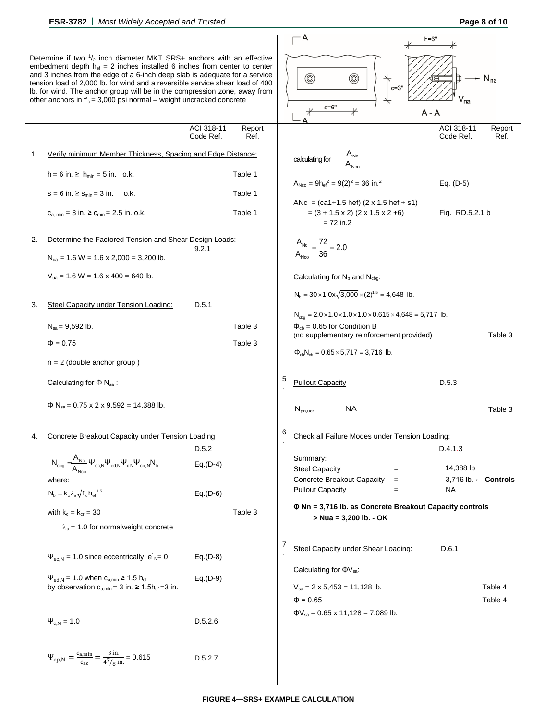|    |                                                                                                                                                                                                                                                                                                                                                                                                                                                                                      |                         |                |   | – A<br>$h=6"$                                                                                                        |                            |                    |
|----|--------------------------------------------------------------------------------------------------------------------------------------------------------------------------------------------------------------------------------------------------------------------------------------------------------------------------------------------------------------------------------------------------------------------------------------------------------------------------------------|-------------------------|----------------|---|----------------------------------------------------------------------------------------------------------------------|----------------------------|--------------------|
|    | Determine if two $\frac{1}{2}$ inch diameter MKT SRS+ anchors with an effective<br>embedment depth $h_{ef} = 2$ inches installed 6 inches from center to center<br>and 3 inches from the edge of a 6-inch deep slab is adequate for a service<br>tension load of 2,000 lb. for wind and a reversible service shear load of 400<br>Ib. for wind. The anchor group will be in the compression zone, away from<br>other anchors in $f_c = 3,000$ psi normal – weight uncracked concrete |                         |                |   | 0<br>◉<br>$c=3"$<br>$s = 6"$<br>$\ast$<br>A - A                                                                      | $\mathsf{V}_{\mathsf{na}}$ | $N_{na}$           |
|    |                                                                                                                                                                                                                                                                                                                                                                                                                                                                                      | ACI 318-11<br>Code Ref. | Report<br>Ref. |   |                                                                                                                      | ACI 318-11<br>Code Ref.    | Report<br>Ref.     |
| 1. | Verify minimum Member Thickness, Spacing and Edge Distance:                                                                                                                                                                                                                                                                                                                                                                                                                          |                         |                |   | $A_{\text{Nc}}$<br>calculating for                                                                                   |                            |                    |
|    | $h = 6$ in. $\ge h_{min} = 5$ in. o.k.                                                                                                                                                                                                                                                                                                                                                                                                                                               |                         | Table 1        |   | $A_{Nco} = 9h_{ef}^2 = 9(2)^2 = 36$ in. <sup>2</sup>                                                                 |                            |                    |
|    | $s = 6$ in. $\ge s_{min} = 3$ in. o.k.                                                                                                                                                                                                                                                                                                                                                                                                                                               |                         | Table 1        |   |                                                                                                                      | Eq. $(D-5)$                |                    |
|    | $C_{a,min} = 3$ in. $\ge C_{min} = 2.5$ in. o.k.                                                                                                                                                                                                                                                                                                                                                                                                                                     |                         | Table 1        |   | ANc = $(ca1+1.5 hef)$ $(2 \times 1.5 hef + s1)$<br>$= (3 + 1.5 \times 2) (2 \times 1.5 \times 2 + 6)$<br>$= 72$ in.2 | Fig. RD.5.2.1 b            |                    |
| 2. | Determine the Factored Tension and Shear Design Loads:                                                                                                                                                                                                                                                                                                                                                                                                                               |                         |                |   |                                                                                                                      |                            |                    |
|    | $N_{ua}$ = 1.6 W = 1.6 x 2,000 = 3,200 lb.                                                                                                                                                                                                                                                                                                                                                                                                                                           | 9.2.1                   |                |   | $\frac{A_{\text{Nc}}}{A_{\text{Nco}}} = \frac{72}{36} = 2.0$                                                         |                            |                    |
|    | $V_{ua}$ = 1.6 W = 1.6 x 400 = 640 lb.                                                                                                                                                                                                                                                                                                                                                                                                                                               |                         |                |   | Calculating for $N_b$ and $N_{cbg}$ :                                                                                |                            |                    |
|    |                                                                                                                                                                                                                                                                                                                                                                                                                                                                                      |                         |                |   | $N_b = 30 \times 1.0x \sqrt{3,000} \times (2)^{1.5} = 4,648$ lb.                                                     |                            |                    |
| 3. | Steel Capacity under Tension Loading:                                                                                                                                                                                                                                                                                                                                                                                                                                                | D.5.1                   |                |   | $N_{cbq} = 2.0 \times 1.0 \times 1.0 \times 1.0 \times 0.615 \times 4,648 = 5,717$ lb.                               |                            |                    |
|    | $N_{sa} = 9,592$ lb.                                                                                                                                                                                                                                                                                                                                                                                                                                                                 |                         | Table 3        |   | $\Phi_{cb} = 0.65$ for Condition B<br>(no supplementary reinforcement provided)                                      |                            | Table 3            |
|    | $\Phi = 0.75$                                                                                                                                                                                                                                                                                                                                                                                                                                                                        |                         | Table 3        |   | $\Phi_{cb}N_{cb} = 0.65 \times 5,717 = 3,716$ lb.                                                                    |                            |                    |
|    | $n = 2$ (double anchor group)                                                                                                                                                                                                                                                                                                                                                                                                                                                        |                         |                |   |                                                                                                                      |                            |                    |
|    | Calculating for $\Phi$ N <sub>sa</sub> :                                                                                                                                                                                                                                                                                                                                                                                                                                             |                         |                | 5 | <b>Pullout Capacity</b>                                                                                              | D.5.3                      |                    |
|    | $\Phi$ N <sub>sa</sub> = 0.75 x 2 x 9,592 = 14,388 lb.                                                                                                                                                                                                                                                                                                                                                                                                                               |                         |                |   | NA.<br>$\mathsf{N}_{\text{pn,ucr}}$                                                                                  |                            | Table 3            |
|    | Concrete Breakout Capacity under Tension Loading                                                                                                                                                                                                                                                                                                                                                                                                                                     |                         |                | 6 | Check all Failure Modes under Tension Loading:                                                                       |                            |                    |
|    |                                                                                                                                                                                                                                                                                                                                                                                                                                                                                      | D.5.2                   |                |   | Summary:                                                                                                             | D.4.1.3                    |                    |
|    | $N_{\text{cbg}}=\stackrel{\phantom{1}}{\underset{\Delta}{\phantom{1}}}\mathsf{A}_{\text{NC}}\,\Psi_{\text{ec},\text{N}}\Psi_{\text{ed},\text{N}}\Psi_{\text{c},\text{N}}\Psi_{\text{cp},\text{N}}N_{\text{b}}$                                                                                                                                                                                                                                                                       | $Eq.(D-4)$              |                |   | <b>Steel Capacity</b><br>$=$                                                                                         | 14,388 lb                  |                    |
|    | where:<br>$N_b = k_c \lambda_a \sqrt{f'_c} h_{ef}^{-1.5}$                                                                                                                                                                                                                                                                                                                                                                                                                            | $Eq.(D-6)$              |                |   | Concrete Breakout Capacity<br>$=$<br><b>Pullout Capacity</b><br>$=$                                                  | 3,716 lb. ← Controls<br>NА |                    |
|    | with $k_c = k_{cr} = 30$                                                                                                                                                                                                                                                                                                                                                                                                                                                             |                         | Table 3        |   | Φ Nn = 3,716 lb. as Concrete Breakout Capacity controls                                                              |                            |                    |
|    | $\lambda_a = 1.0$ for normalweight concrete                                                                                                                                                                                                                                                                                                                                                                                                                                          |                         |                |   | $> Nua = 3,200 lb. - OK$                                                                                             |                            |                    |
|    |                                                                                                                                                                                                                                                                                                                                                                                                                                                                                      |                         |                | 7 | Steel Capacity under Shear Loading:                                                                                  | D.6.1                      |                    |
|    | $\Psi_{\text{ec,N}} = 1.0$ since eccentrically $e^i_{N} = 0$                                                                                                                                                                                                                                                                                                                                                                                                                         | $Eq.(D-8)$              |                |   |                                                                                                                      |                            |                    |
|    | $\Psi_{\text{ed,N}} = 1.0$ when $c_{a,\text{min}} \ge 1.5$ h <sub>ef</sub>                                                                                                                                                                                                                                                                                                                                                                                                           | $Eq.(D-9)$              |                |   | Calculating for $\Phi V_{sa}$ :                                                                                      |                            |                    |
|    | by observation $c_{a,min} = 3$ in. $\ge 1.5h_{ef} = 3$ in.                                                                                                                                                                                                                                                                                                                                                                                                                           |                         |                |   | $V_{sa} = 2 \times 5,453 = 11,128$ lb.<br>$\Phi = 0.65$                                                              |                            | Table 4<br>Table 4 |
|    |                                                                                                                                                                                                                                                                                                                                                                                                                                                                                      |                         |                |   | $\Phi V_{sa} = 0.65 \times 11,128 = 7,089$ lb.                                                                       |                            |                    |
|    | $\Psi_{c,N} = 1.0$                                                                                                                                                                                                                                                                                                                                                                                                                                                                   | D.5.2.6                 |                |   |                                                                                                                      |                            |                    |
|    | $\Psi_{\rm cp,N} = \frac{c_{\rm a,min}}{c_{\rm ac}} = \frac{3 \text{ in.}}{4^7/8 \text{ in.}} = 0.615$                                                                                                                                                                                                                                                                                                                                                                               | D.5.2.7                 |                |   |                                                                                                                      |                            |                    |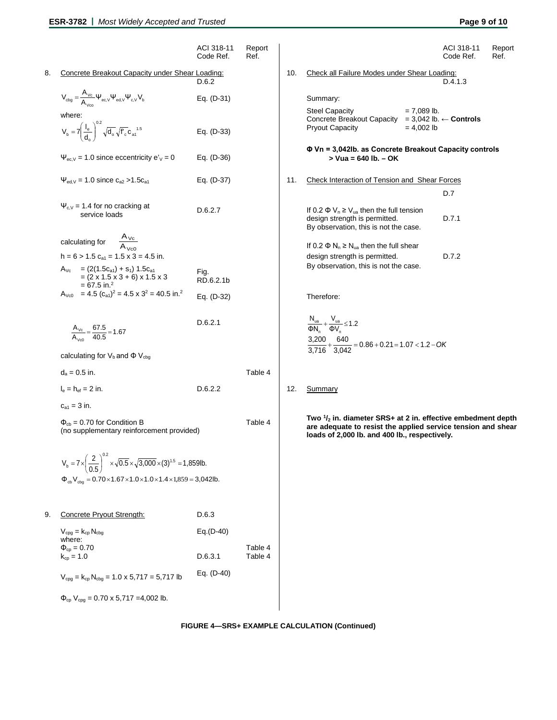|    |                                                                                                                                       | ACI 318-11<br>Code Ref. | Report<br>Ref.     |     |                                                                                                                                                                                         | ACI 318-11<br>Code Ref. | Report<br>Ref. |
|----|---------------------------------------------------------------------------------------------------------------------------------------|-------------------------|--------------------|-----|-----------------------------------------------------------------------------------------------------------------------------------------------------------------------------------------|-------------------------|----------------|
| 8. | Concrete Breakout Capacity under Shear Loading:                                                                                       | D.6.2                   |                    | 10. | Check all Failure Modes under Shear Loading:                                                                                                                                            | D.4.1.3                 |                |
|    | $V_{\text{cbg}} = \frac{A_{Vc}}{A_{\text{ce}}} \Psi_{\text{ec,V}} \Psi_{\text{ed,V}} \Psi_{\text{c,V}} V_{\text{b}}$                  | Eq. (D-31)              |                    |     | Summary:                                                                                                                                                                                |                         |                |
|    | where:<br>$V_{b} = 7 \left( \frac{I_{e}}{d} \right)^{0.2} \sqrt{d_{o}} \sqrt{f'_{c}} c_{a1}^{1.5}$                                    | Eq. (D-33)              |                    |     | <b>Steel Capacity</b><br>$= 7,089$ lb.<br>Concrete Breakout Capacity = $3,042$ lb. $\leftarrow$ Controls<br><b>Pryout Capacity</b><br>$= 4,002$ lb                                      |                         |                |
|    | $\Psi_{ec,V}$ = 1.0 since eccentricity e' <sub>V</sub> = 0                                                                            | Eq. (D-36)              |                    |     | $\Phi$ Vn = 3,042lb. as Concrete Breakout Capacity controls<br>$>$ Vua = 640 lb. $-$ OK                                                                                                 |                         |                |
|    | $\Psi_{\text{ed,V}} = 1.0$ since $c_{a2} > 1.5c_{a1}$                                                                                 | Eq. (D-37)              |                    | 11. | <b>Check Interaction of Tension and Shear Forces</b>                                                                                                                                    | D.7                     |                |
|    | $\Psi_{c,V}$ = 1.4 for no cracking at<br>service loads                                                                                | D.6.2.7                 |                    |     | If 0.2 $\Phi$ V <sub>n</sub> $\geq$ V <sub>ua</sub> then the full tension<br>design strength is permitted.<br>By observation, this is not the case.                                     | D.7.1                   |                |
|    | $\frac{A_{\text{Vc}}}{A_{\text{Vc}}}$<br>calculating for<br>$h = 6 > 1.5$ $c_{a1} = 1.5$ x 3 = 4.5 in.                                |                         |                    |     | If 0.2 $\Phi$ N <sub>n</sub> $\geq$ N <sub>ua</sub> then the full shear<br>design strength is permitted.<br>By observation, this is not the case.                                       | D.7.2                   |                |
|    | $= (2(1.5c_{a1}) + s_1) 1.5c_{a1}$<br>$A_{\lor c}$<br>$=(2 \times 1.5 \times 3 + 6) \times 1.5 \times 3$<br>$= 67.5$ in. <sup>2</sup> | Fig.<br>RD.6.2.1b       |                    |     |                                                                                                                                                                                         |                         |                |
|    | $A_{\text{Vc0}}$ = 4.5 $(c_{a1})^2$ = 4.5 x 3 <sup>2</sup> = 40.5 in. <sup>2</sup>                                                    | Eq. (D-32)              |                    |     | Therefore:                                                                                                                                                                              |                         |                |
|    | $\frac{A_{\text{Vc}}}{A_{\text{Vc0}}} = \frac{67.5}{40.5} = 1.67$                                                                     | D.6.2.1                 |                    |     | $\frac{N_{ua}}{\Phi N_n} + \frac{V_{ua}}{\Phi V_n} \le 1.2$<br>$\frac{3,200}{3,716} + \frac{640}{3,042} = 0.86 + 0.21 = 1.07 < 1.2 - OK$                                                |                         |                |
|    | calculating for $V_b$ and $\Phi V_{cbg}$                                                                                              |                         |                    |     |                                                                                                                                                                                         |                         |                |
|    | $d_a = 0.5$ in.                                                                                                                       |                         | Table 4            |     |                                                                                                                                                                                         |                         |                |
|    | $I_e = h_{ef} = 2$ in.                                                                                                                | D.6.2.2                 |                    | 12. | Summary                                                                                                                                                                                 |                         |                |
|    | $c_{a1} = 3$ in.                                                                                                                      |                         |                    |     |                                                                                                                                                                                         |                         |                |
|    | $\Phi_{cb}$ = 0.70 for Condition B<br>(no supplementary reinforcement provided)                                                       |                         | Table 4            |     | Two $\frac{1}{2}$ in. diameter SRS+ at 2 in. effective embedment depth<br>are adequate to resist the applied service tension and shear<br>loads of 2,000 lb. and 400 lb., respectively. |                         |                |
|    | $V_b = 7 \times \left(\frac{2}{0.5}\right)^{0.2} \times \sqrt{0.5} \times \sqrt{3,000} \times (3)^{1.5} = 1,859$ lb.                  |                         |                    |     |                                                                                                                                                                                         |                         |                |
|    | $\Phi_{cb}V_{cbg} = 0.70 \times 1.67 \times 1.0 \times 1.0 \times 1.4 \times 1,859 = 3,042$ lb.                                       |                         |                    |     |                                                                                                                                                                                         |                         |                |
| 9. | Concrete Pryout Strength:                                                                                                             | D.6.3                   |                    |     |                                                                                                                                                                                         |                         |                |
|    | $V_{cpg} = k_{cp} N_{cbg}$<br>where:                                                                                                  | $Eq.(D-40)$             |                    |     |                                                                                                                                                                                         |                         |                |
|    | $\Phi_{cp} = 0.70$<br>$k_{cp} = 1.0$                                                                                                  | D.6.3.1                 | Table 4<br>Table 4 |     |                                                                                                                                                                                         |                         |                |
|    | $V_{cpg} = k_{cp} N_{cbg} = 1.0 \times 5,717 = 5,717$ lb                                                                              | Eq. (D-40)              |                    |     |                                                                                                                                                                                         |                         |                |
|    | $\Phi_{cp}$ V <sub>cpg</sub> = 0.70 x 5,717 = 4,002 lb.                                                                               |                         |                    |     |                                                                                                                                                                                         |                         |                |

# **FIGURE 4—SRS+ EXAMPLE CALCULATION (Continued)**